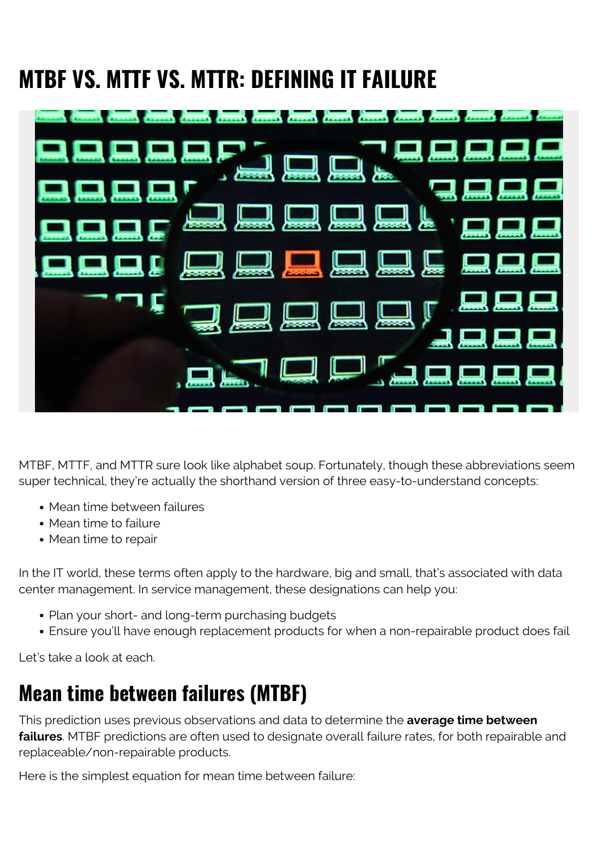# **MTBF VS. MTTF VS. MTTR: DEFINING IT FAILURE**



MTBF, MTTF, and MTTR sure look like alphabet soup. Fortunately, though these abbreviations seem super technical, they're actually the shorthand version of three easy-to-understand concepts:

- Mean time between failures
- Mean time to failure
- Mean time to repair

In the IT world, these terms often apply to the hardware, big and small, that's associated with data center management. In service management, these designations can help you:

- Plan your short- and long-term purchasing budgets
- Ensure you'll have enough replacement products for when a non-repairable product does fail

Let's take a look at each.

### **Mean time between failures (MTBF)**

This prediction uses previous observations and data to determine the **average time between failures**. MTBF predictions are often used to designate overall failure rates, for both repairable and replaceable/non-repairable products.

Here is the simplest equation for mean time between failure: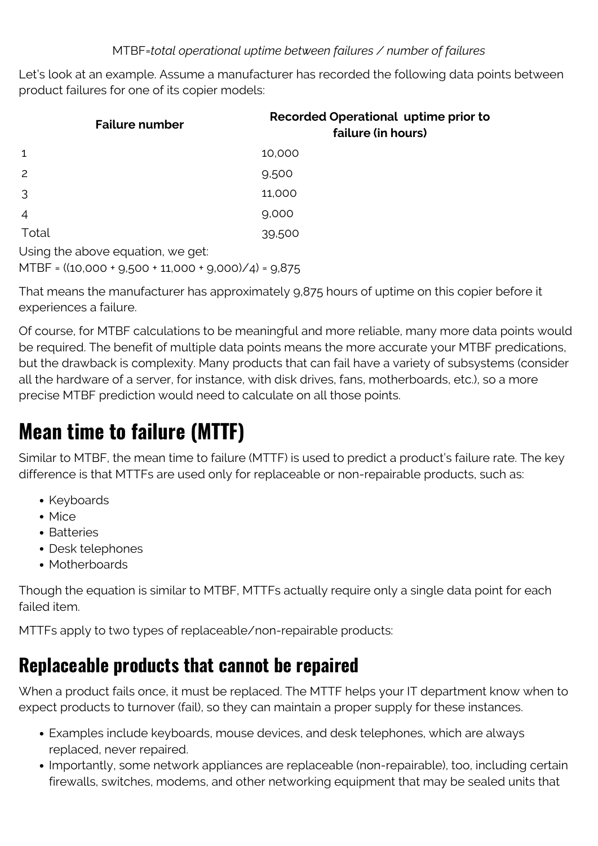#### MTBF=*total operational uptime between failures / number of failures*

Let's look at an example. Assume a manufacturer has recorded the following data points between product failures for one of its copier models:

| <b>Failure number</b>             | Recorded Operational uptime prior to<br>failure (in hours) |
|-----------------------------------|------------------------------------------------------------|
| 1                                 | 10,000                                                     |
| 2                                 | 9,500                                                      |
| 3                                 | 11,000                                                     |
| $\overline{4}$                    | 9,000                                                      |
| Total                             | 39,500                                                     |
| Using the above equation, we get: |                                                            |

MTBF = ((10,000 + 9,500 + 11,000 + 9,000)/4) = 9,875

That means the manufacturer has approximately 9,875 hours of uptime on this copier before it experiences a failure.

Of course, for MTBF calculations to be meaningful and more reliable, many more data points would be required. The benefit of multiple data points means the more accurate your MTBF predications, but the drawback is complexity. Many products that can fail have a variety of subsystems (consider all the hardware of a server, for instance, with disk drives, fans, motherboards, etc.), so a more precise MTBF prediction would need to calculate on all those points.

### **Mean time to failure (MTTF)**

Similar to MTBF, the mean time to failure (MTTF) is used to predict a product's failure rate. The key difference is that MTTFs are used only for replaceable or non-repairable products, such as:

- Keyboards
- Mice
- Batteries
- Desk telephones
- Motherboards

Though the equation is similar to MTBF, MTTFs actually require only a single data point for each failed item.

MTTFs apply to two types of replaceable/non-repairable products:

### **Replaceable products that cannot be repaired**

When a product fails once, it must be replaced. The MTTF helps your IT department know when to expect products to turnover (fail), so they can maintain a proper supply for these instances.

- Examples include keyboards, mouse devices, and desk telephones, which are always replaced, never repaired.
- Importantly, some network appliances are replaceable (non-repairable), too, including certain firewalls, switches, modems, and other networking equipment that may be sealed units that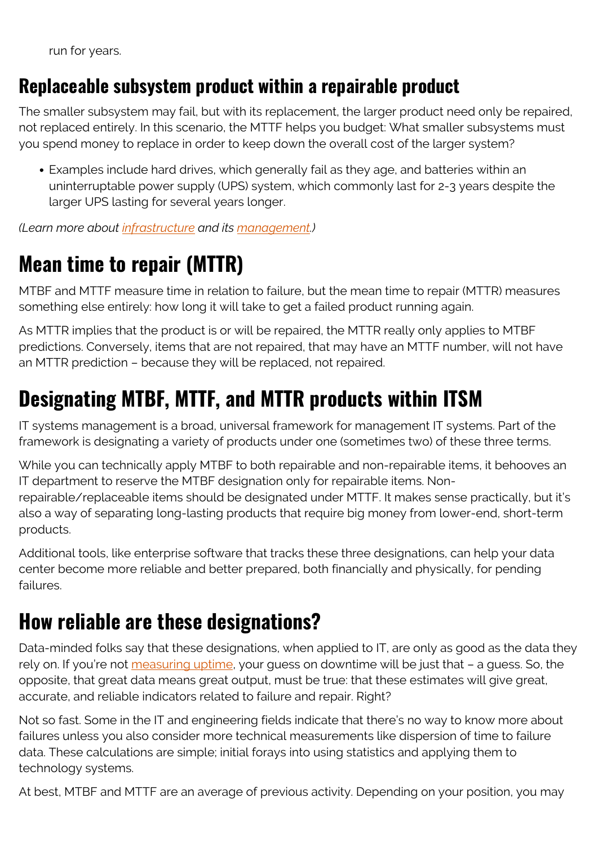run for years.

### **Replaceable subsystem product within a repairable product**

The smaller subsystem may fail, but with its replacement, the larger product need only be repaired, not replaced entirely. In this scenario, the MTTF helps you budget: What smaller subsystems must you spend money to replace in order to keep down the overall cost of the larger system?

Examples include hard drives, which generally fail as they age, and batteries within an uninterruptable power supply (UPS) system, which commonly last for 2-3 years despite the larger UPS lasting for several years longer.

*(Learn more about [infrastructure](https://blogs.bmc.com/blogs/what-is-it-infrastructure-and-what-are-its-components/) and its [management.](https://blogs.bmc.com/blogs/it-infrastructure-management/))*

# **Mean time to repair (MTTR)**

MTBF and MTTF measure time in relation to failure, but the mean time to repair (MTTR) measures something else entirely: how long it will take to get a failed product running again.

As MTTR implies that the product is or will be repaired, the MTTR really only applies to MTBF predictions. Conversely, items that are not repaired, that may have an MTTF number, will not have an MTTR prediction – because they will be replaced, not repaired.

# **Designating MTBF, MTTF, and MTTR products within ITSM**

IT systems management is a broad, universal framework for management IT systems. Part of the framework is designating a variety of products under one (sometimes two) of these three terms.

While you can technically apply MTBF to both repairable and non-repairable items, it behooves an IT department to reserve the MTBF designation only for repairable items. Nonrepairable/replaceable items should be designated under MTTF. It makes sense practically, but it's also a way of separating long-lasting products that require big money from lower-end, short-term products.

Additional tools, like enterprise software that tracks these three designations, can help your data center become more reliable and better prepared, both financially and physically, for pending failures.

# **How reliable are these designations?**

Data-minded folks say that these designations, when applied to IT, are only as good as the data they rely on. If you're not [measuring uptime](https://blogs.bmc.com/blogs/it-metrics-kpis/), your quess on downtime will be just that – a quess. So, the opposite, that great data means great output, must be true: that these estimates will give great, accurate, and reliable indicators related to failure and repair. Right?

Not so fast. Some in the IT and engineering fields indicate that there's no way to know more about failures unless you also consider more technical measurements like dispersion of time to failure data. These calculations are simple; initial forays into using statistics and applying them to technology systems.

At best, MTBF and MTTF are an average of previous activity. Depending on your position, you may